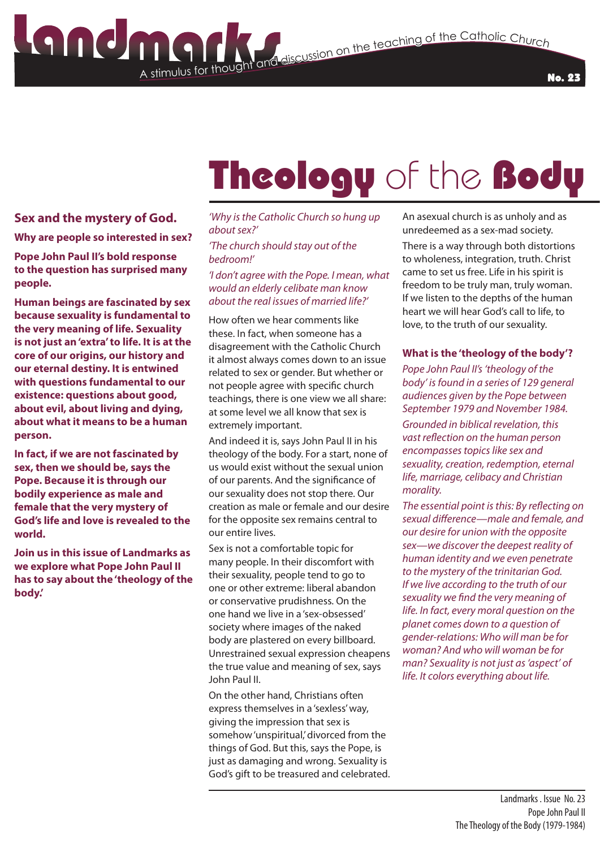### A stimulus for thought **Stimulus for the Catholic Church**<br>The teaching of the Catholic Church

# Theology of the Body

#### **Sex and the mystery of God.**

#### **Why are people so interested in sex?**

**Pope John Paul II's bold response to the question has surprised many people.** 

**Human beings are fascinated by sex because sexuality is fundamental to the very meaning of life. Sexuality is not just an 'extra' to life. It is at the core of our origins, our history and our eternal destiny. It is entwined with questions fundamental to our existence: questions about good, about evil, about living and dying, about what it means to be a human person.**

**In fact, if we are not fascinated by sex, then we should be, says the Pope. Because it is through our bodily experience as male and female that the very mystery of God's life and love is revealed to the world.**

**Join us in this issue of Landmarks as we explore what Pope John Paul II has to say about the 'theology of the body.'**

#### *'Why is the Catholic Church so hung up about sex?'*

*'The church should stay out of the bedroom!'*

#### *'I don't agree with the Pope. I mean, what would an elderly celibate man know about the real issues of married life?'*

How often we hear comments like these. In fact, when someone has a disagreement with the Catholic Church it almost always comes down to an issue related to sex or gender. But whether or not people agree with specific church teachings, there is one view we all share: at some level we all know that sex is extremely important.

And indeed it is, says John Paul II in his theology of the body. For a start, none of us would exist without the sexual union of our parents. And the significance of our sexuality does not stop there. Our creation as male or female and our desire for the opposite sex remains central to our entire lives.

Sex is not a comfortable topic for many people. In their discomfort with their sexuality, people tend to go to one or other extreme: liberal abandon or conservative prudishness. On the one hand we live in a 'sex-obsessed' society where images of the naked body are plastered on every billboard. Unrestrained sexual expression cheapens the true value and meaning of sex, says John Paul II.

On the other hand, Christians often express themselves in a 'sexless' way, giving the impression that sex is somehow 'unspiritual,' divorced from the things of God. But this, says the Pope, is just as damaging and wrong. Sexuality is God's gift to be treasured and celebrated. An asexual church is as unholy and as unredeemed as a sex-mad society.

There is a way through both distortions to wholeness, integration, truth. Christ came to set us free. Life in his spirit is freedom to be truly man, truly woman. If we listen to the depths of the human heart we will hear God's call to life, to love, to the truth of our sexuality.

#### **What is the 'theology of the body'?**

*Pope John Paul II's 'theology of the body' is found in a series of 129 general audiences given by the Pope between September 1979 and November 1984.*

*Grounded in biblical revelation, this vast reflection on the human person encompasses topics like sex and sexuality, creation, redemption, eternal life, marriage, celibacy and Christian morality.*

*The essential point is this: By reflecting on sexual difference—male and female, and our desire for union with the opposite sex—we discover the deepest reality of human identity and we even penetrate to the mystery of the trinitarian God. If we live according to the truth of our sexuality we find the very meaning of life. In fact, every moral question on the planet comes down to a question of gender-relations: Who will man be for woman? And who will woman be for man? Sexuality is not just as 'aspect' of life. It colors everything about life.*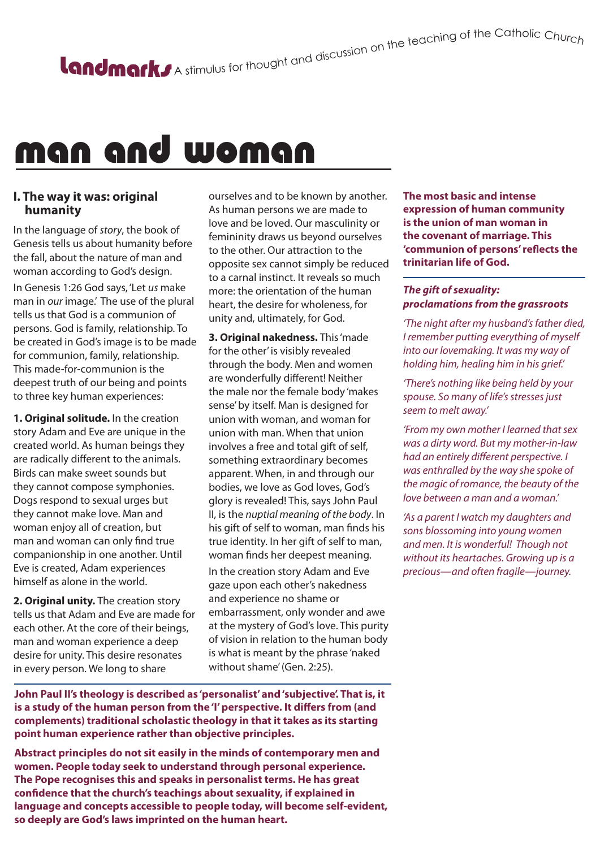### man and woman

#### **I. The way it was: original humanity**

In the language of *story*, the book of Genesis tells us about humanity before the fall, about the nature of man and woman according to God's design. In Genesis 1:26 God says, 'Let *us* make

man in *our* image.' The use of the plural tells us that God is a communion of persons. God is family, relationship. To be created in God's image is to be made for communion, family, relationship. This made-for-communion is the deepest truth of our being and points to three key human experiences:

**1. Original solitude.** In the creation story Adam and Eve are unique in the created world. As human beings they are radically different to the animals. Birds can make sweet sounds but they cannot compose symphonies. Dogs respond to sexual urges but they cannot make love. Man and woman enjoy all of creation, but man and woman can only find true companionship in one another. Until Eve is created, Adam experiences himself as alone in the world.

**2. Original unity.** The creation story tells us that Adam and Eve are made for each other. At the core of their beings, man and woman experience a deep desire for unity. This desire resonates in every person. We long to share

ourselves and to be known by another. As human persons we are made to love and be loved. Our masculinity or femininity draws us beyond ourselves to the other. Our attraction to the opposite sex cannot simply be reduced to a carnal instinct. It reveals so much more: the orientation of the human heart, the desire for wholeness, for unity and, ultimately, for God.

**3. Original nakedness.** This 'made for the other' is visibly revealed through the body. Men and women are wonderfully different! Neither the male nor the female body 'makes sense' by itself. Man is designed for union with woman, and woman for union with man. When that union involves a free and total gift of self, something extraordinary becomes apparent. When, in and through our bodies, we love as God loves, God's glory is revealed! This, says John Paul II, is the *nuptial meaning of the body*. In his gift of self to woman, man finds his true identity. In her gift of self to man, woman finds her deepest meaning.

In the creation story Adam and Eve gaze upon each other's nakedness and experience no shame or embarrassment, only wonder and awe at the mystery of God's love. This purity of vision in relation to the human body is what is meant by the phrase 'naked without shame' (Gen. 2:25).

**John Paul II's theology is described as 'personalist' and 'subjective'. That is, it is a study of the human person from the 'I' perspective. It differs from (and complements) traditional scholastic theology in that it takes as its starting point human experience rather than objective principles.**

**Abstract principles do not sit easily in the minds of contemporary men and women. People today seek to understand through personal experience. The Pope recognises this and speaks in personalist terms. He has great confidence that the church's teachings about sexuality, if explained in language and concepts accessible to people today, will become self-evident, so deeply are God's laws imprinted on the human heart.**

**The most basic and intense expression of human community is the union of man woman in the covenant of marriage. This 'communion of persons' reflects the trinitarian life of God.**

#### *The gift of sexuality: proclamations from the grassroots*

*'The night after my husband's father died, I remember putting everything of myself into our lovemaking. It was my way of holding him, healing him in his grief.'*

*'There's nothing like being held by your spouse. So many of life's stresses just seem to melt away.'*

*'From my own mother I learned that sex was a dirty word. But my mother-in-law had an entirely different perspective. I was enthralled by the way she spoke of the magic of romance, the beauty of the love between a man and a woman.'*

*'As a parent I watch my daughters and sons blossoming into young women and men. It is wonderful! Though not without its heartaches. Growing up is a precious—and often fragile—journey.*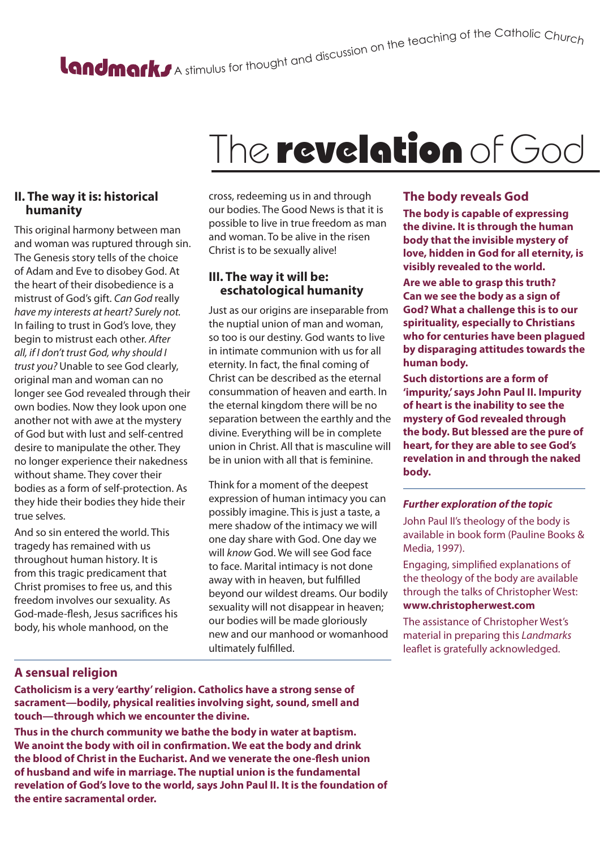# A stimulus for thought and discussion on the teaching of the Catholic Churc<sub>h</sub>

## The revelation of God

#### **II. The way it is: historical humanity**

This original harmony between man and woman was ruptured through sin. The Genesis story tells of the choice of Adam and Eve to disobey God. At the heart of their disobedience is a mistrust of God's gift. *Can God* really *have my interests at heart? Surely not.*  In failing to trust in God's love, they begin to mistrust each other. *After all, if I don't trust God, why should I trust you?* Unable to see God clearly, original man and woman can no longer see God revealed through their own bodies. Now they look upon one another not with awe at the mystery of God but with lust and self-centred desire to manipulate the other. They no longer experience their nakedness without shame. They cover their bodies as a form of self-protection. As they hide their bodies they hide their true selves.

And so sin entered the world. This tragedy has remained with us throughout human history. It is from this tragic predicament that Christ promises to free us, and this freedom involves our sexuality. As God-made-flesh, Jesus sacrifices his body, his whole manhood, on the

cross, redeeming us in and through our bodies. The Good News is that it is possible to live in true freedom as man and woman. To be alive in the risen Christ is to be sexually alive!

#### **III. The way it will be: eschatological humanity**

Just as our origins are inseparable from the nuptial union of man and woman, so too is our destiny. God wants to live in intimate communion with us for all eternity. In fact, the final coming of Christ can be described as the eternal consummation of heaven and earth. In the eternal kingdom there will be no separation between the earthly and the divine. Everything will be in complete union in Christ. All that is masculine will be in union with all that is feminine.

Think for a moment of the deepest expression of human intimacy you can possibly imagine. This is just a taste, a mere shadow of the intimacy we will one day share with God. One day we will *know* God. We will see God face to face. Marital intimacy is not done away with in heaven, but fulfilled beyond our wildest dreams. Our bodily sexuality will not disappear in heaven; our bodies will be made gloriously new and our manhood or womanhood ultimately fulfilled.

#### **A sensual religion**

**Catholicism is a very 'earthy' religion. Catholics have a strong sense of sacrament—bodily, physical realities involving sight, sound, smell and touch—through which we encounter the divine.**

**Thus in the church community we bathe the body in water at baptism. We anoint the body with oil in confirmation. We eat the body and drink the blood of Christ in the Eucharist. And we venerate the one-flesh union of husband and wife in marriage. The nuptial union is the fundamental revelation of God's love to the world, says John Paul II. It is the foundation of the entire sacramental order.**

#### **The body reveals God**

**The body is capable of expressing the divine. It is through the human body that the invisible mystery of love, hidden in God for all eternity, is visibly revealed to the world.**

**Are we able to grasp this truth? Can we see the body as a sign of God? What a challenge this is to our spirituality, especially to Christians who for centuries have been plagued by disparaging attitudes towards the human body.**

**Such distortions are a form of 'impurity,' says John Paul II. Impurity of heart is the inability to see the mystery of God revealed through the body. But blessed are the pure of heart, for they are able to see God's revelation in and through the naked body.**

#### *Further exploration of the topic*

John Paul II's theology of the body is available in book form (Pauline Books & Media, 1997).

Engaging, simplified explanations of the theology of the body are available through the talks of Christopher West: **www.christopherwest.com** 

The assistance of Christopher West's material in preparing this *Landmarks* leaflet is gratefully acknowledged.